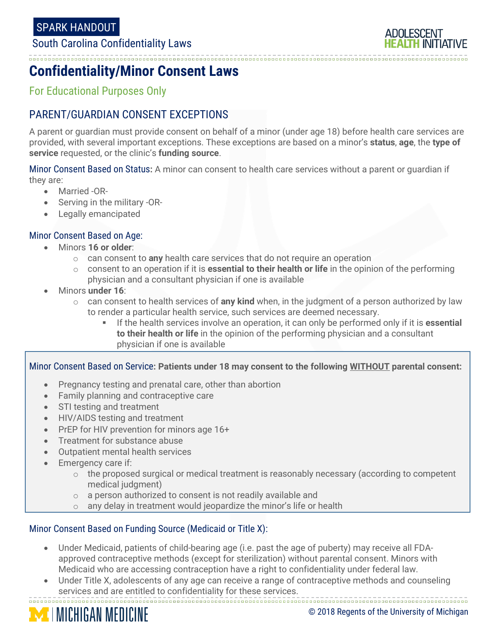### South Carolina Confidentiality Laws

ADOI FSCENT 

## **Confidentiality/Minor Consent Laws**

For Educational Purposes Only

### PARENT/GUARDIAN CONSENT EXCEPTIONS

A parent or guardian must provide consent on behalf of a minor (under age 18) before health care services are provided, with several important exceptions. These exceptions are based on a minor's **status**, **age**, the **type of service** requested, or the clinic's **funding source**.

Minor Consent Based on Status**:** A minor can consent to health care services without a parent or guardian if they are:

- Married -OR-
- Serving in the military -OR-
- Legally emancipated

#### Minor Consent Based on Age:

- Minors **16 or older**:
	- o can consent to **any** health care services that do not require an operation
	- o consent to an operation if it is **essential to their health or life** in the opinion of the performing physician and a consultant physician if one is available
- Minors **under 16**:
	- o can consent to health services of **any kind** when, in the judgment of a person authorized by law to render a particular health service, such services are deemed necessary.
		- If the health services involve an operation, it can only be performed only if it is **essential to their health or life** in the opinion of the performing physician and a consultant physician if one is available

Minor Consent Based on Service**: Patients under 18 may consent to the following WITHOUT parental consent:**

- Pregnancy testing and prenatal care, other than abortion
- Family planning and contraceptive care
- STI testing and treatment
- HIV/AIDS testing and treatment
- PrEP for HIV prevention for minors age 16+
- Treatment for substance abuse
- Outpatient mental health services
- Emergency care if:
	- $\circ$  the proposed surgical or medical treatment is reasonably necessary (according to competent medical judgment)
	- o a person authorized to consent is not readily available and
	- $\circ$  any delay in treatment would jeopardize the minor's life or health

#### Minor Consent Based on Funding Source (Medicaid or Title X):

- Under Medicaid, patients of child-bearing age (i.e. past the age of puberty) may receive all FDAapproved contraceptive methods (except for sterilization) without parental consent. Minors with Medicaid who are accessing contraception have a right to confidentiality under federal law.
- Under Title X, adolescents of any age can receive a range of contraceptive methods and counseling services and are entitled to confidentiality for these services.